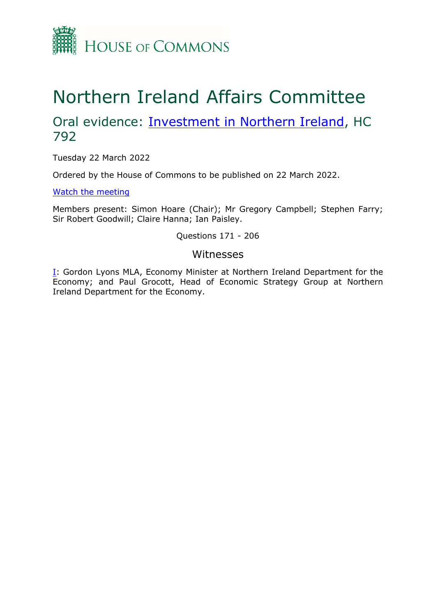

# Northern Ireland Affairs Committee

## Oral evidence: **[Investment](https://committees.parliament.uk/work/1550/investment-in-northern-ireland/) [in](https://committees.parliament.uk/work/1550/investment-in-northern-ireland/) [Northern](https://committees.parliament.uk/work/1550/investment-in-northern-ireland/) [Ireland](https://committees.parliament.uk/work/1550/investment-in-northern-ireland/)**, HC 792

Tuesday 22 March 2022

Ordered by the House of Commons to be published on 22 March 2022.

[Watch](https://parliamentlive.tv/event/index/21e011dc-4136-412b-a66c-babd7d2395b3) [the](https://parliamentlive.tv/event/index/21e011dc-4136-412b-a66c-babd7d2395b3) [meeting](https://parliamentlive.tv/event/index/21e011dc-4136-412b-a66c-babd7d2395b3)

Members present: Simon Hoare (Chair); Mr Gregory Campbell; Stephen Farry; Sir Robert Goodwill; Claire Hanna; Ian Paisley.

#### Questions 171 - 206

#### Witnesses

[I:](#page-1-0) Gordon Lyons MLA, Economy Minister at Northern Ireland Department for the Economy; and Paul Grocott, Head of Economic Strategy Group at Northern Ireland Department for the Economy.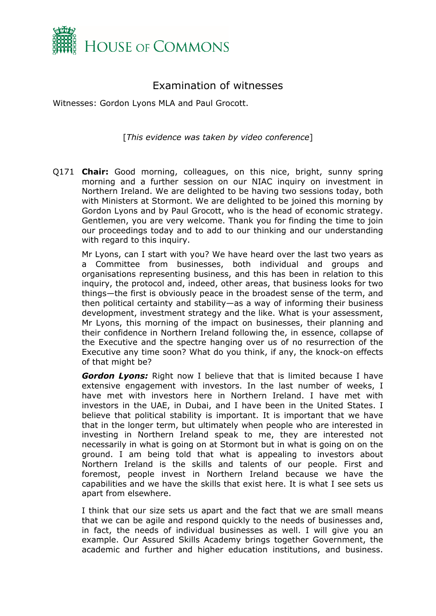

### <span id="page-1-0"></span>Examination of witnesses

Witnesses: Gordon Lyons MLA and Paul Grocott.

[*This evidence was taken by video conference*]

Q171 **Chair:** Good morning, colleagues, on this nice, bright, sunny spring morning and a further session on our NIAC inquiry on investment in Northern Ireland. We are delighted to be having two sessions today, both with Ministers at Stormont. We are delighted to be joined this morning by Gordon Lyons and by Paul Grocott, who is the head of economic strategy. Gentlemen, you are very welcome. Thank you for finding the time to join our proceedings today and to add to our thinking and our understanding with regard to this inquiry.

Mr Lyons, can I start with you? We have heard over the last two years as a Committee from businesses, both individual and groups and organisations representing business, and this has been in relation to this inquiry, the protocol and, indeed, other areas, that business looks for two things—the first is obviously peace in the broadest sense of the term, and then political certainty and stability—as a way of informing their business development, investment strategy and the like. What is your assessment, Mr Lyons, this morning of the impact on businesses, their planning and their confidence in Northern Ireland following the, in essence, collapse of the Executive and the spectre hanging over us of no resurrection of the Executive any time soon? What do you think, if any, the knock-on effects of that might be?

*Gordon Lyons:* Right now I believe that that is limited because I have extensive engagement with investors. In the last number of weeks, I have met with investors here in Northern Ireland. I have met with investors in the UAE, in Dubai, and I have been in the United States. I believe that political stability is important. It is important that we have that in the longer term, but ultimately when people who are interested in investing in Northern Ireland speak to me, they are interested not necessarily in what is going on at Stormont but in what is going on on the ground. I am being told that what is appealing to investors about Northern Ireland is the skills and talents of our people. First and foremost, people invest in Northern Ireland because we have the capabilities and we have the skills that exist here. It is what I see sets us apart from elsewhere.

I think that our size sets us apart and the fact that we are small means that we can be agile and respond quickly to the needs of businesses and, in fact, the needs of individual businesses as well. I will give you an example. Our Assured Skills Academy brings together Government, the academic and further and higher education institutions, and business.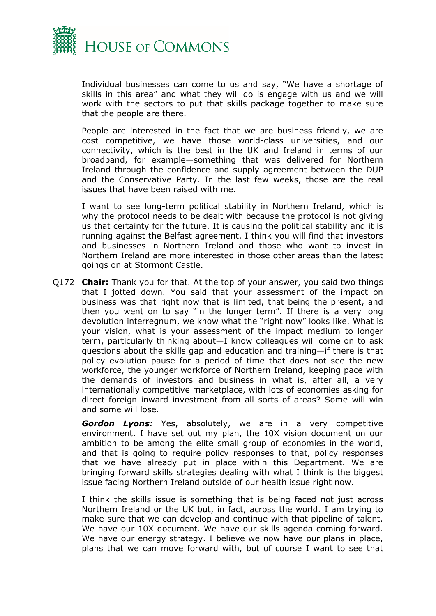

Individual businesses can come to us and say, "We have a shortage of skills in this area" and what they will do is engage with us and we will work with the sectors to put that skills package together to make sure that the people are there.

People are interested in the fact that we are business friendly, we are cost competitive, we have those world-class universities, and our connectivity, which is the best in the UK and Ireland in terms of our broadband, for example—something that was delivered for Northern Ireland through the confidence and supply agreement between the DUP and the Conservative Party. In the last few weeks, those are the real issues that have been raised with me.

I want to see long-term political stability in Northern Ireland, which is why the protocol needs to be dealt with because the protocol is not giving us that certainty for the future. It is causing the political stability and it is running against the Belfast agreement. I think you will find that investors and businesses in Northern Ireland and those who want to invest in Northern Ireland are more interested in those other areas than the latest goings on at Stormont Castle.

Q172 **Chair:** Thank you for that. At the top of your answer, you said two things that I jotted down. You said that your assessment of the impact on business was that right now that is limited, that being the present, and then you went on to say "in the longer term". If there is a very long devolution interregnum, we know what the "right now" looks like. What is your vision, what is your assessment of the impact medium to longer term, particularly thinking about—I know colleagues will come on to ask questions about the skills gap and education and training—if there is that policy evolution pause for a period of time that does not see the new workforce, the younger workforce of Northern Ireland, keeping pace with the demands of investors and business in what is, after all, a very internationally competitive marketplace, with lots of economies asking for direct foreign inward investment from all sorts of areas? Some will win and some will lose.

*Gordon Lyons:* Yes, absolutely, we are in a very competitive environment. I have set out my plan, the 10X vision document on our ambition to be among the elite small group of economies in the world, and that is going to require policy responses to that, policy responses that we have already put in place within this Department. We are bringing forward skills strategies dealing with what I think is the biggest issue facing Northern Ireland outside of our health issue right now.

I think the skills issue is something that is being faced not just across Northern Ireland or the UK but, in fact, across the world. I am trying to make sure that we can develop and continue with that pipeline of talent. We have our 10X document. We have our skills agenda coming forward. We have our energy strategy. I believe we now have our plans in place, plans that we can move forward with, but of course I want to see that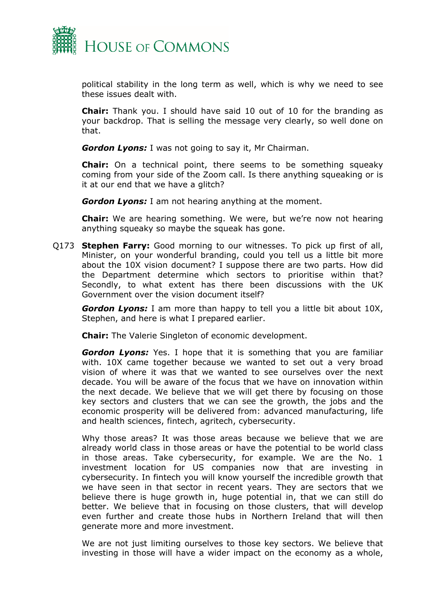

political stability in the long term as well, which is why we need to see these issues dealt with.

**Chair:** Thank you. I should have said 10 out of 10 for the branding as your backdrop. That is selling the message very clearly, so well done on that.

*Gordon Lyons:* I was not going to say it, Mr Chairman.

**Chair:** On a technical point, there seems to be something squeaky coming from your side of the Zoom call. Is there anything squeaking or is it at our end that we have a glitch?

*Gordon Lyons:* I am not hearing anything at the moment.

**Chair:** We are hearing something. We were, but we're now not hearing anything squeaky so maybe the squeak has gone.

Q173 **Stephen Farry:** Good morning to our witnesses. To pick up first of all, Minister, on your wonderful branding, could you tell us a little bit more about the 10X vision document? I suppose there are two parts. How did the Department determine which sectors to prioritise within that? Secondly, to what extent has there been discussions with the UK Government over the vision document itself?

*Gordon Lyons:* I am more than happy to tell you a little bit about 10X, Stephen, and here is what I prepared earlier.

**Chair:** The Valerie Singleton of economic development.

*Gordon Lyons:* Yes. I hope that it is something that you are familiar with. 10X came together because we wanted to set out a very broad vision of where it was that we wanted to see ourselves over the next decade. You will be aware of the focus that we have on innovation within the next decade. We believe that we will get there by focusing on those key sectors and clusters that we can see the growth, the jobs and the economic prosperity will be delivered from: advanced manufacturing, life and health sciences, fintech, agritech, cybersecurity.

Why those areas? It was those areas because we believe that we are already world class in those areas or have the potential to be world class in those areas. Take cybersecurity, for example. We are the No. 1 investment location for US companies now that are investing in cybersecurity. In fintech you will know yourself the incredible growth that we have seen in that sector in recent years. They are sectors that we believe there is huge growth in, huge potential in, that we can still do better. We believe that in focusing on those clusters, that will develop even further and create those hubs in Northern Ireland that will then generate more and more investment.

We are not just limiting ourselves to those key sectors. We believe that investing in those will have a wider impact on the economy as a whole,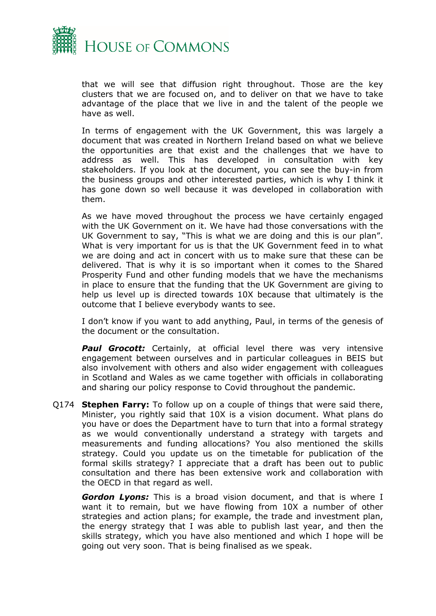

that we will see that diffusion right throughout. Those are the key clusters that we are focused on, and to deliver on that we have to take advantage of the place that we live in and the talent of the people we have as well.

In terms of engagement with the UK Government, this was largely a document that was created in Northern Ireland based on what we believe the opportunities are that exist and the challenges that we have to address as well. This has developed in consultation with key stakeholders. If you look at the document, you can see the buy-in from the business groups and other interested parties, which is why I think it has gone down so well because it was developed in collaboration with them.

As we have moved throughout the process we have certainly engaged with the UK Government on it. We have had those conversations with the UK Government to say, "This is what we are doing and this is our plan". What is very important for us is that the UK Government feed in to what we are doing and act in concert with us to make sure that these can be delivered. That is why it is so important when it comes to the Shared Prosperity Fund and other funding models that we have the mechanisms in place to ensure that the funding that the UK Government are giving to help us level up is directed towards 10X because that ultimately is the outcome that I believe everybody wants to see.

I don't know if you want to add anything, Paul, in terms of the genesis of the document or the consultation.

**Paul Grocott:** Certainly, at official level there was very intensive engagement between ourselves and in particular colleagues in BEIS but also involvement with others and also wider engagement with colleagues in Scotland and Wales as we came together with officials in collaborating and sharing our policy response to Covid throughout the pandemic.

Q174 **Stephen Farry:** To follow up on a couple of things that were said there, Minister, you rightly said that 10X is a vision document. What plans do you have or does the Department have to turn that into a formal strategy as we would conventionally understand a strategy with targets and measurements and funding allocations? You also mentioned the skills strategy. Could you update us on the timetable for publication of the formal skills strategy? I appreciate that a draft has been out to public consultation and there has been extensive work and collaboration with the OECD in that regard as well.

*Gordon Lyons:* This is a broad vision document, and that is where I want it to remain, but we have flowing from 10X a number of other strategies and action plans; for example, the trade and investment plan, the energy strategy that I was able to publish last year, and then the skills strategy, which you have also mentioned and which I hope will be going out very soon. That is being finalised as we speak.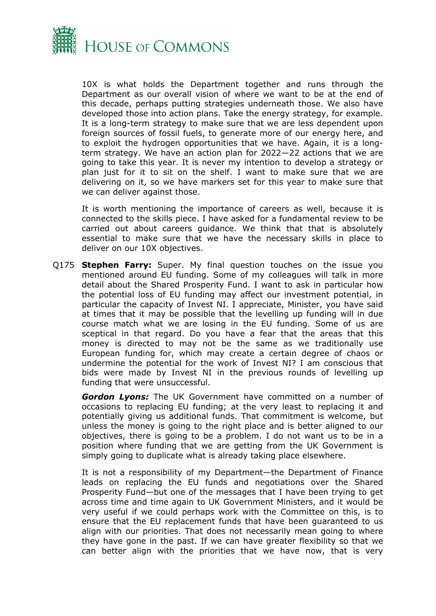

10X is what holds the Department together and runs through the Department as our overall vision of where we want to be at the end of this decade, perhaps putting strategies underneath those. We also have developed those into action plans. Take the energy strategy, for example. It is a long-term strategy to make sure that we are less dependent upon foreign sources of fossil fuels, to generate more of our energy here, and to exploit the hydrogen opportunities that we have. Again, it is a longterm strategy. We have an action plan for 2022—22 actions that we are going to take this year. It is never my intention to develop a strategy or plan just for it to sit on the shelf. I want to make sure that we are delivering on it, so we have markers set for this year to make sure that we can deliver against those.

It is worth mentioning the importance of careers as well, because it is connected to the skills piece. I have asked for a fundamental review to be carried out about careers guidance. We think that that is absolutely essential to make sure that we have the necessary skills in place to deliver on our 10X objectives.

Q175 **Stephen Farry:** Super. My final question touches on the issue you mentioned around EU funding. Some of my colleagues will talk in more detail about the Shared Prosperity Fund. I want to ask in particular how the potential loss of EU funding may affect our investment potential, in particular the capacity of Invest NI. I appreciate, Minister, you have said at times that it may be possible that the levelling up funding will in due course match what we are losing in the EU funding. Some of us are sceptical in that regard. Do you have a fear that the areas that this money is directed to may not be the same as we traditionally use European funding for, which may create a certain degree of chaos or undermine the potential for the work of Invest NI? I am conscious that bids were made by Invest NI in the previous rounds of levelling up funding that were unsuccessful.

*Gordon Lyons:* The UK Government have committed on a number of occasions to replacing EU funding; at the very least to replacing it and potentially giving us additional funds. That commitment is welcome, but unless the money is going to the right place and is better aligned to our objectives, there is going to be a problem. I do not want us to be in a position where funding that we are getting from the UK Government is simply going to duplicate what is already taking place elsewhere.

It is not a responsibility of my Department—the Department of Finance leads on replacing the EU funds and negotiations over the Shared Prosperity Fund—but one of the messages that I have been trying to get across time and time again to UK Government Ministers, and it would be very useful if we could perhaps work with the Committee on this, is to ensure that the EU replacement funds that have been guaranteed to us align with our priorities. That does not necessarily mean going to where they have gone in the past. If we can have greater flexibility so that we can better align with the priorities that we have now, that is very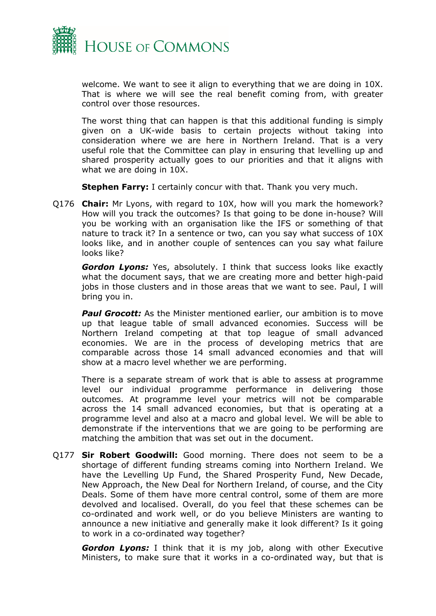

welcome. We want to see it align to everything that we are doing in 10X. That is where we will see the real benefit coming from, with greater control over those resources.

The worst thing that can happen is that this additional funding is simply given on a UK-wide basis to certain projects without taking into consideration where we are here in Northern Ireland. That is a very useful role that the Committee can play in ensuring that levelling up and shared prosperity actually goes to our priorities and that it aligns with what we are doing in 10X.

**Stephen Farry:** I certainly concur with that. Thank you very much.

Q176 **Chair:** Mr Lyons, with regard to 10X, how will you mark the homework? How will you track the outcomes? Is that going to be done in-house? Will you be working with an organisation like the IFS or something of that nature to track it? In a sentence or two, can you say what success of 10X looks like, and in another couple of sentences can you say what failure looks like?

*Gordon Lyons:* Yes, absolutely. I think that success looks like exactly what the document says, that we are creating more and better high-paid jobs in those clusters and in those areas that we want to see. Paul, I will bring you in.

**Paul Grocott:** As the Minister mentioned earlier, our ambition is to move up that league table of small advanced economies. Success will be Northern Ireland competing at that top league of small advanced economies. We are in the process of developing metrics that are comparable across those 14 small advanced economies and that will show at a macro level whether we are performing.

There is a separate stream of work that is able to assess at programme level our individual programme performance in delivering those outcomes. At programme level your metrics will not be comparable across the 14 small advanced economies, but that is operating at a programme level and also at a macro and global level. We will be able to demonstrate if the interventions that we are going to be performing are matching the ambition that was set out in the document.

Q177 **Sir Robert Goodwill:** Good morning. There does not seem to be a shortage of different funding streams coming into Northern Ireland. We have the Levelling Up Fund, the Shared Prosperity Fund, New Decade, New Approach, the New Deal for Northern Ireland, of course, and the City Deals. Some of them have more central control, some of them are more devolved and localised. Overall, do you feel that these schemes can be co-ordinated and work well, or do you believe Ministers are wanting to announce a new initiative and generally make it look different? Is it going to work in a co-ordinated way together?

*Gordon Lyons:* I think that it is my job, along with other Executive Ministers, to make sure that it works in a co-ordinated way, but that is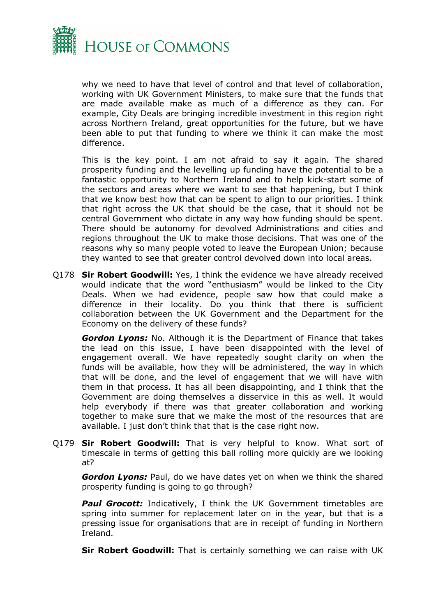

why we need to have that level of control and that level of collaboration, working with UK Government Ministers, to make sure that the funds that are made available make as much of a difference as they can. For example, City Deals are bringing incredible investment in this region right across Northern Ireland, great opportunities for the future, but we have been able to put that funding to where we think it can make the most difference.

This is the key point. I am not afraid to say it again. The shared prosperity funding and the levelling up funding have the potential to be a fantastic opportunity to Northern Ireland and to help kick-start some of the sectors and areas where we want to see that happening, but I think that we know best how that can be spent to align to our priorities. I think that right across the UK that should be the case, that it should not be central Government who dictate in any way how funding should be spent. There should be autonomy for devolved Administrations and cities and regions throughout the UK to make those decisions. That was one of the reasons why so many people voted to leave the European Union; because they wanted to see that greater control devolved down into local areas.

Q178 **Sir Robert Goodwill:** Yes, I think the evidence we have already received would indicate that the word "enthusiasm" would be linked to the City Deals. When we had evidence, people saw how that could make a difference in their locality. Do you think that there is sufficient collaboration between the UK Government and the Department for the Economy on the delivery of these funds?

*Gordon Lyons:* No. Although it is the Department of Finance that takes the lead on this issue, I have been disappointed with the level of engagement overall. We have repeatedly sought clarity on when the funds will be available, how they will be administered, the way in which that will be done, and the level of engagement that we will have with them in that process. It has all been disappointing, and I think that the Government are doing themselves a disservice in this as well. It would help everybody if there was that greater collaboration and working together to make sure that we make the most of the resources that are available. I just don't think that that is the case right now.

Q179 **Sir Robert Goodwill:** That is very helpful to know. What sort of timescale in terms of getting this ball rolling more quickly are we looking at?

*Gordon Lyons:* Paul, do we have dates yet on when we think the shared prosperity funding is going to go through?

**Paul Grocott:** Indicatively, I think the UK Government timetables are spring into summer for replacement later on in the year, but that is a pressing issue for organisations that are in receipt of funding in Northern Ireland.

**Sir Robert Goodwill:** That is certainly something we can raise with UK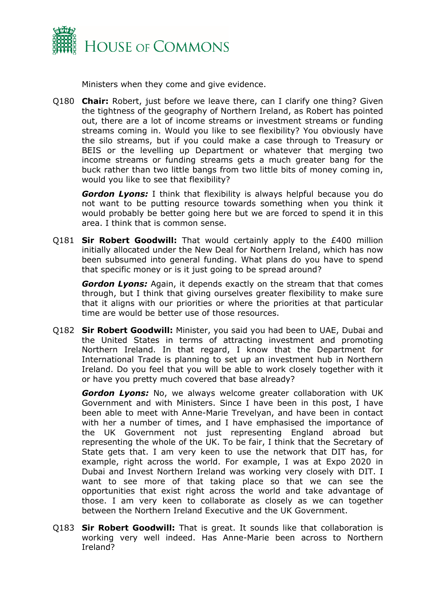

Ministers when they come and give evidence.

Q180 **Chair:** Robert, just before we leave there, can I clarify one thing? Given the tightness of the geography of Northern Ireland, as Robert has pointed out, there are a lot of income streams or investment streams or funding streams coming in. Would you like to see flexibility? You obviously have the silo streams, but if you could make a case through to Treasury or BEIS or the levelling up Department or whatever that merging two income streams or funding streams gets a much greater bang for the buck rather than two little bangs from two little bits of money coming in, would you like to see that flexibility?

*Gordon Lyons:* I think that flexibility is always helpful because you do not want to be putting resource towards something when you think it would probably be better going here but we are forced to spend it in this area. I think that is common sense.

Q181 **Sir Robert Goodwill:** That would certainly apply to the £400 million initially allocated under the New Deal for Northern Ireland, which has now been subsumed into general funding. What plans do you have to spend that specific money or is it just going to be spread around?

*Gordon Lyons:* Again, it depends exactly on the stream that that comes through, but I think that giving ourselves greater flexibility to make sure that it aligns with our priorities or where the priorities at that particular time are would be better use of those resources.

Q182 **Sir Robert Goodwill:** Minister, you said you had been to UAE, Dubai and the United States in terms of attracting investment and promoting Northern Ireland. In that regard, I know that the Department for International Trade is planning to set up an investment hub in Northern Ireland. Do you feel that you will be able to work closely together with it or have you pretty much covered that base already?

*Gordon Lyons:* No, we always welcome greater collaboration with UK Government and with Ministers. Since I have been in this post, I have been able to meet with Anne-Marie Trevelyan, and have been in contact with her a number of times, and I have emphasised the importance of the UK Government not just representing England abroad but representing the whole of the UK. To be fair, I think that the Secretary of State gets that. I am very keen to use the network that DIT has, for example, right across the world. For example, I was at Expo 2020 in Dubai and Invest Northern Ireland was working very closely with DIT. I want to see more of that taking place so that we can see the opportunities that exist right across the world and take advantage of those. I am very keen to collaborate as closely as we can together between the Northern Ireland Executive and the UK Government.

Q183 **Sir Robert Goodwill:** That is great. It sounds like that collaboration is working very well indeed. Has Anne-Marie been across to Northern Ireland?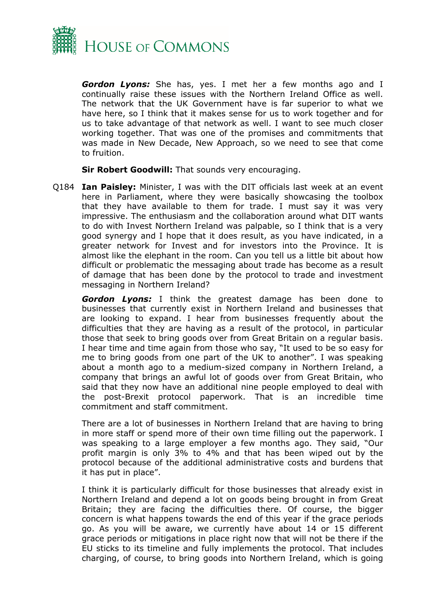

*Gordon Lyons:* She has, yes. I met her a few months ago and I continually raise these issues with the Northern Ireland Office as well. The network that the UK Government have is far superior to what we have here, so I think that it makes sense for us to work together and for us to take advantage of that network as well. I want to see much closer working together. That was one of the promises and commitments that was made in New Decade, New Approach, so we need to see that come to fruition.

**Sir Robert Goodwill:** That sounds very encouraging.

Q184 **Ian Paisley:** Minister, I was with the DIT officials last week at an event here in Parliament, where they were basically showcasing the toolbox that they have available to them for trade. I must say it was very impressive. The enthusiasm and the collaboration around what DIT wants to do with Invest Northern Ireland was palpable, so I think that is a very good synergy and I hope that it does result, as you have indicated, in a greater network for Invest and for investors into the Province. It is almost like the elephant in the room. Can you tell us a little bit about how difficult or problematic the messaging about trade has become as a result of damage that has been done by the protocol to trade and investment messaging in Northern Ireland?

*Gordon Lyons:* I think the greatest damage has been done to businesses that currently exist in Northern Ireland and businesses that are looking to expand. I hear from businesses frequently about the difficulties that they are having as a result of the protocol, in particular those that seek to bring goods over from Great Britain on a regular basis. I hear time and time again from those who say, "It used to be so easy for me to bring goods from one part of the UK to another". I was speaking about a month ago to a medium-sized company in Northern Ireland, a company that brings an awful lot of goods over from Great Britain, who said that they now have an additional nine people employed to deal with the post-Brexit protocol paperwork. That is an incredible time commitment and staff commitment.

There are a lot of businesses in Northern Ireland that are having to bring in more staff or spend more of their own time filling out the paperwork. I was speaking to a large employer a few months ago. They said, "Our profit margin is only 3% to 4% and that has been wiped out by the protocol because of the additional administrative costs and burdens that it has put in place".

I think it is particularly difficult for those businesses that already exist in Northern Ireland and depend a lot on goods being brought in from Great Britain; they are facing the difficulties there. Of course, the bigger concern is what happens towards the end of this year if the grace periods go. As you will be aware, we currently have about 14 or 15 different grace periods or mitigations in place right now that will not be there if the EU sticks to its timeline and fully implements the protocol. That includes charging, of course, to bring goods into Northern Ireland, which is going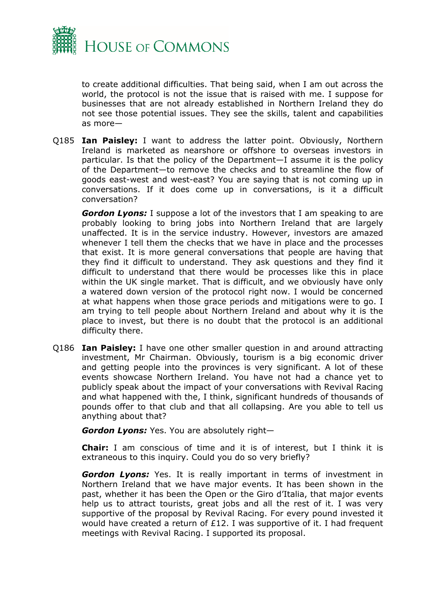

to create additional difficulties. That being said, when I am out across the world, the protocol is not the issue that is raised with me. I suppose for businesses that are not already established in Northern Ireland they do not see those potential issues. They see the skills, talent and capabilities as more—

Q185 **Ian Paisley:** I want to address the latter point. Obviously, Northern Ireland is marketed as nearshore or offshore to overseas investors in particular. Is that the policy of the Department—I assume it is the policy of the Department—to remove the checks and to streamline the flow of goods east-west and west-east? You are saying that is not coming up in conversations. If it does come up in conversations, is it a difficult conversation?

*Gordon Lyons:* I suppose a lot of the investors that I am speaking to are probably looking to bring jobs into Northern Ireland that are largely unaffected. It is in the service industry. However, investors are amazed whenever I tell them the checks that we have in place and the processes that exist. It is more general conversations that people are having that they find it difficult to understand. They ask questions and they find it difficult to understand that there would be processes like this in place within the UK single market. That is difficult, and we obviously have only a watered down version of the protocol right now. I would be concerned at what happens when those grace periods and mitigations were to go. I am trying to tell people about Northern Ireland and about why it is the place to invest, but there is no doubt that the protocol is an additional difficulty there.

Q186 **Ian Paisley:** I have one other smaller question in and around attracting investment, Mr Chairman. Obviously, tourism is a big economic driver and getting people into the provinces is very significant. A lot of these events showcase Northern Ireland. You have not had a chance yet to publicly speak about the impact of your conversations with Revival Racing and what happened with the, I think, significant hundreds of thousands of pounds offer to that club and that all collapsing. Are you able to tell us anything about that?

*Gordon Lyons:* Yes. You are absolutely right—

**Chair:** I am conscious of time and it is of interest, but I think it is extraneous to this inquiry. Could you do so very briefly?

*Gordon Lyons:* Yes. It is really important in terms of investment in Northern Ireland that we have major events. It has been shown in the past, whether it has been the Open or the Giro d'Italia, that major events help us to attract tourists, great jobs and all the rest of it. I was very supportive of the proposal by Revival Racing. For every pound invested it would have created a return of £12. I was supportive of it. I had frequent meetings with Revival Racing. I supported its proposal.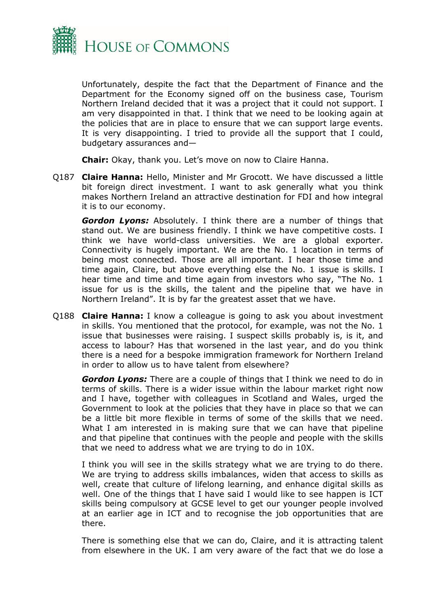

Unfortunately, despite the fact that the Department of Finance and the Department for the Economy signed off on the business case, Tourism Northern Ireland decided that it was a project that it could not support. I am very disappointed in that. I think that we need to be looking again at the policies that are in place to ensure that we can support large events. It is very disappointing. I tried to provide all the support that I could, budgetary assurances and—

**Chair:** Okay, thank you. Let's move on now to Claire Hanna.

Q187 **Claire Hanna:** Hello, Minister and Mr Grocott. We have discussed a little bit foreign direct investment. I want to ask generally what you think makes Northern Ireland an attractive destination for FDI and how integral it is to our economy.

*Gordon Lyons:* Absolutely. I think there are a number of things that stand out. We are business friendly. I think we have competitive costs. I think we have world-class universities. We are a global exporter. Connectivity is hugely important. We are the No. 1 location in terms of being most connected. Those are all important. I hear those time and time again, Claire, but above everything else the No. 1 issue is skills. I hear time and time and time again from investors who say, "The No. 1 issue for us is the skills, the talent and the pipeline that we have in Northern Ireland". It is by far the greatest asset that we have.

Q188 **Claire Hanna:** I know a colleague is going to ask you about investment in skills. You mentioned that the protocol, for example, was not the No. 1 issue that businesses were raising. I suspect skills probably is, is it, and access to labour? Has that worsened in the last year, and do you think there is a need for a bespoke immigration framework for Northern Ireland in order to allow us to have talent from elsewhere?

*Gordon Lyons:* There are a couple of things that I think we need to do in terms of skills. There is a wider issue within the labour market right now and I have, together with colleagues in Scotland and Wales, urged the Government to look at the policies that they have in place so that we can be a little bit more flexible in terms of some of the skills that we need. What I am interested in is making sure that we can have that pipeline and that pipeline that continues with the people and people with the skills that we need to address what we are trying to do in 10X.

I think you will see in the skills strategy what we are trying to do there. We are trying to address skills imbalances, widen that access to skills as well, create that culture of lifelong learning, and enhance digital skills as well. One of the things that I have said I would like to see happen is ICT skills being compulsory at GCSE level to get our younger people involved at an earlier age in ICT and to recognise the job opportunities that are there.

There is something else that we can do, Claire, and it is attracting talent from elsewhere in the UK. I am very aware of the fact that we do lose a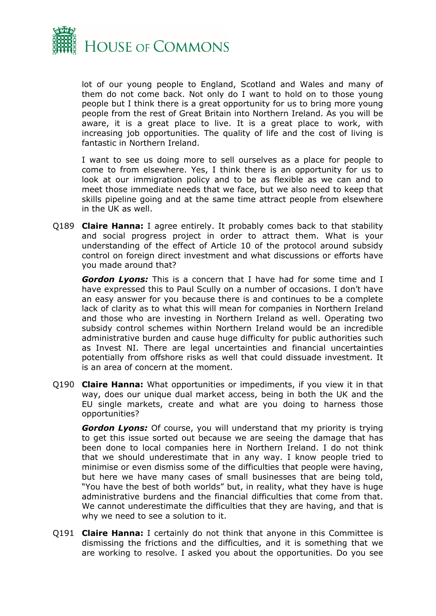

lot of our young people to England, Scotland and Wales and many of them do not come back. Not only do I want to hold on to those young people but I think there is a great opportunity for us to bring more young people from the rest of Great Britain into Northern Ireland. As you will be aware, it is a great place to live. It is a great place to work, with increasing job opportunities. The quality of life and the cost of living is fantastic in Northern Ireland.

I want to see us doing more to sell ourselves as a place for people to come to from elsewhere. Yes, I think there is an opportunity for us to look at our immigration policy and to be as flexible as we can and to meet those immediate needs that we face, but we also need to keep that skills pipeline going and at the same time attract people from elsewhere in the UK as well.

Q189 **Claire Hanna:** I agree entirely. It probably comes back to that stability and social progress project in order to attract them. What is your understanding of the effect of Article 10 of the protocol around subsidy control on foreign direct investment and what discussions or efforts have you made around that?

*Gordon Lyons:* This is a concern that I have had for some time and I have expressed this to Paul Scully on a number of occasions. I don't have an easy answer for you because there is and continues to be a complete lack of clarity as to what this will mean for companies in Northern Ireland and those who are investing in Northern Ireland as well. Operating two subsidy control schemes within Northern Ireland would be an incredible administrative burden and cause huge difficulty for public authorities such as Invest NI. There are legal uncertainties and financial uncertainties potentially from offshore risks as well that could dissuade investment. It is an area of concern at the moment.

Q190 **Claire Hanna:** What opportunities or impediments, if you view it in that way, does our unique dual market access, being in both the UK and the EU single markets, create and what are you doing to harness those opportunities?

*Gordon Lyons:* Of course, you will understand that my priority is trying to get this issue sorted out because we are seeing the damage that has been done to local companies here in Northern Ireland. I do not think that we should underestimate that in any way. I know people tried to minimise or even dismiss some of the difficulties that people were having, but here we have many cases of small businesses that are being told, "You have the best of both worlds" but, in reality, what they have is huge administrative burdens and the financial difficulties that come from that. We cannot underestimate the difficulties that they are having, and that is why we need to see a solution to it.

Q191 **Claire Hanna:** I certainly do not think that anyone in this Committee is dismissing the frictions and the difficulties, and it is something that we are working to resolve. I asked you about the opportunities. Do you see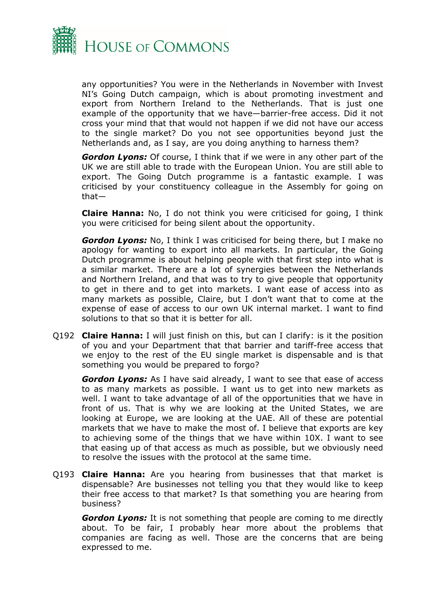

any opportunities? You were in the Netherlands in November with Invest NI's Going Dutch campaign, which is about promoting investment and export from Northern Ireland to the Netherlands. That is just one example of the opportunity that we have—barrier-free access. Did it not cross your mind that that would not happen if we did not have our access to the single market? Do you not see opportunities beyond just the Netherlands and, as I say, are you doing anything to harness them?

*Gordon Lyons:* Of course, I think that if we were in any other part of the UK we are still able to trade with the European Union. You are still able to export. The Going Dutch programme is a fantastic example. I was criticised by your constituency colleague in the Assembly for going on that—

**Claire Hanna:** No, I do not think you were criticised for going, I think you were criticised for being silent about the opportunity.

*Gordon Lyons:* No, I think I was criticised for being there, but I make no apology for wanting to export into all markets. In particular, the Going Dutch programme is about helping people with that first step into what is a similar market. There are a lot of synergies between the Netherlands and Northern Ireland, and that was to try to give people that opportunity to get in there and to get into markets. I want ease of access into as many markets as possible, Claire, but I don't want that to come at the expense of ease of access to our own UK internal market. I want to find solutions to that so that it is better for all.

Q192 **Claire Hanna:** I will just finish on this, but can I clarify: is it the position of you and your Department that that barrier and tariff-free access that we enjoy to the rest of the EU single market is dispensable and is that something you would be prepared to forgo?

*Gordon Lyons:* As I have said already, I want to see that ease of access to as many markets as possible. I want us to get into new markets as well. I want to take advantage of all of the opportunities that we have in front of us. That is why we are looking at the United States, we are looking at Europe, we are looking at the UAE. All of these are potential markets that we have to make the most of. I believe that exports are key to achieving some of the things that we have within 10X. I want to see that easing up of that access as much as possible, but we obviously need to resolve the issues with the protocol at the same time.

Q193 **Claire Hanna:** Are you hearing from businesses that that market is dispensable? Are businesses not telling you that they would like to keep their free access to that market? Is that something you are hearing from business?

*Gordon Lyons:* It is not something that people are coming to me directly about. To be fair, I probably hear more about the problems that companies are facing as well. Those are the concerns that are being expressed to me.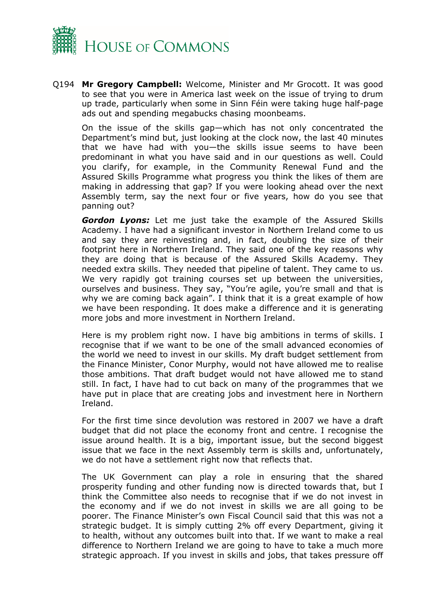

Q194 **Mr Gregory Campbell:** Welcome, Minister and Mr Grocott. It was good to see that you were in America last week on the issue of trying to drum up trade, particularly when some in Sinn Féin were taking huge half-page ads out and spending megabucks chasing moonbeams.

On the issue of the skills gap—which has not only concentrated the Department's mind but, just looking at the clock now, the last 40 minutes that we have had with you—the skills issue seems to have been predominant in what you have said and in our questions as well. Could you clarify, for example, in the Community Renewal Fund and the Assured Skills Programme what progress you think the likes of them are making in addressing that gap? If you were looking ahead over the next Assembly term, say the next four or five years, how do you see that panning out?

*Gordon Lyons:* Let me just take the example of the Assured Skills Academy. I have had a significant investor in Northern Ireland come to us and say they are reinvesting and, in fact, doubling the size of their footprint here in Northern Ireland. They said one of the key reasons why they are doing that is because of the Assured Skills Academy. They needed extra skills. They needed that pipeline of talent. They came to us. We very rapidly got training courses set up between the universities, ourselves and business. They say, "You're agile, you're small and that is why we are coming back again". I think that it is a great example of how we have been responding. It does make a difference and it is generating more jobs and more investment in Northern Ireland.

Here is my problem right now. I have big ambitions in terms of skills. I recognise that if we want to be one of the small advanced economies of the world we need to invest in our skills. My draft budget settlement from the Finance Minister, Conor Murphy, would not have allowed me to realise those ambitions. That draft budget would not have allowed me to stand still. In fact, I have had to cut back on many of the programmes that we have put in place that are creating jobs and investment here in Northern Ireland.

For the first time since devolution was restored in 2007 we have a draft budget that did not place the economy front and centre. I recognise the issue around health. It is a big, important issue, but the second biggest issue that we face in the next Assembly term is skills and, unfortunately, we do not have a settlement right now that reflects that.

The UK Government can play a role in ensuring that the shared prosperity funding and other funding now is directed towards that, but I think the Committee also needs to recognise that if we do not invest in the economy and if we do not invest in skills we are all going to be poorer. The Finance Minister's own Fiscal Council said that this was not a strategic budget. It is simply cutting 2% off every Department, giving it to health, without any outcomes built into that. If we want to make a real difference to Northern Ireland we are going to have to take a much more strategic approach. If you invest in skills and jobs, that takes pressure off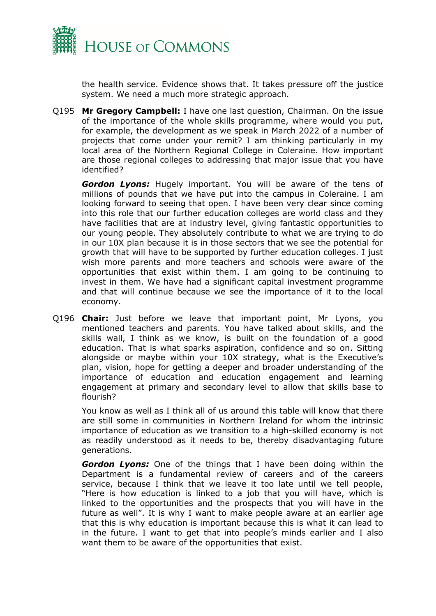

the health service. Evidence shows that. It takes pressure off the justice system. We need a much more strategic approach.

Q195 **Mr Gregory Campbell:** I have one last question, Chairman. On the issue of the importance of the whole skills programme, where would you put, for example, the development as we speak in March 2022 of a number of projects that come under your remit? I am thinking particularly in my local area of the Northern Regional College in Coleraine. How important are those regional colleges to addressing that major issue that you have identified?

*Gordon Lyons:* Hugely important. You will be aware of the tens of millions of pounds that we have put into the campus in Coleraine. I am looking forward to seeing that open. I have been very clear since coming into this role that our further education colleges are world class and they have facilities that are at industry level, giving fantastic opportunities to our young people. They absolutely contribute to what we are trying to do in our 10X plan because it is in those sectors that we see the potential for growth that will have to be supported by further education colleges. I just wish more parents and more teachers and schools were aware of the opportunities that exist within them. I am going to be continuing to invest in them. We have had a significant capital investment programme and that will continue because we see the importance of it to the local economy.

Q196 **Chair:** Just before we leave that important point, Mr Lyons, you mentioned teachers and parents. You have talked about skills, and the skills wall, I think as we know, is built on the foundation of a good education. That is what sparks aspiration, confidence and so on. Sitting alongside or maybe within your 10X strategy, what is the Executive's plan, vision, hope for getting a deeper and broader understanding of the importance of education and education engagement and learning engagement at primary and secondary level to allow that skills base to flourish?

You know as well as I think all of us around this table will know that there are still some in communities in Northern Ireland for whom the intrinsic importance of education as we transition to a high-skilled economy is not as readily understood as it needs to be, thereby disadvantaging future generations.

*Gordon Lyons:* One of the things that I have been doing within the Department is a fundamental review of careers and of the careers service, because I think that we leave it too late until we tell people, "Here is how education is linked to a job that you will have, which is linked to the opportunities and the prospects that you will have in the future as well". It is why I want to make people aware at an earlier age that this is why education is important because this is what it can lead to in the future. I want to get that into people's minds earlier and I also want them to be aware of the opportunities that exist.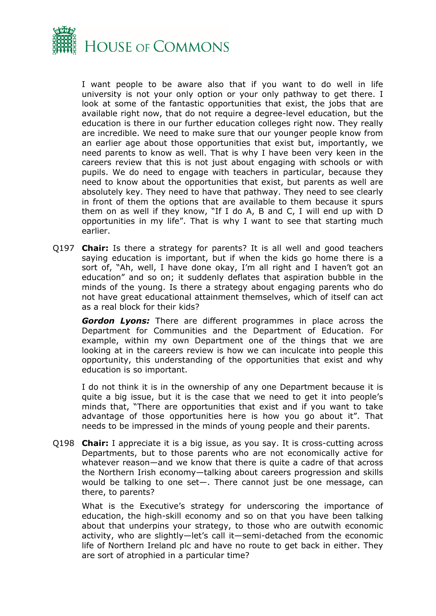

I want people to be aware also that if you want to do well in life university is not your only option or your only pathway to get there. I look at some of the fantastic opportunities that exist, the jobs that are available right now, that do not require a degree-level education, but the education is there in our further education colleges right now. They really are incredible. We need to make sure that our younger people know from an earlier age about those opportunities that exist but, importantly, we need parents to know as well. That is why I have been very keen in the careers review that this is not just about engaging with schools or with pupils. We do need to engage with teachers in particular, because they need to know about the opportunities that exist, but parents as well are absolutely key. They need to have that pathway. They need to see clearly in front of them the options that are available to them because it spurs them on as well if they know, "If I do A, B and C, I will end up with D opportunities in my life". That is why I want to see that starting much earlier.

Q197 **Chair:** Is there a strategy for parents? It is all well and good teachers saying education is important, but if when the kids go home there is a sort of, "Ah, well, I have done okay, I'm all right and I haven't got an education" and so on; it suddenly deflates that aspiration bubble in the minds of the young. Is there a strategy about engaging parents who do not have great educational attainment themselves, which of itself can act as a real block for their kids?

*Gordon Lyons:* There are different programmes in place across the Department for Communities and the Department of Education. For example, within my own Department one of the things that we are looking at in the careers review is how we can inculcate into people this opportunity, this understanding of the opportunities that exist and why education is so important.

I do not think it is in the ownership of any one Department because it is quite a big issue, but it is the case that we need to get it into people's minds that, "There are opportunities that exist and if you want to take advantage of those opportunities here is how you go about it". That needs to be impressed in the minds of young people and their parents.

Q198 **Chair:** I appreciate it is a big issue, as you say. It is cross-cutting across Departments, but to those parents who are not economically active for whatever reason—and we know that there is quite a cadre of that across the Northern Irish economy—talking about careers progression and skills would be talking to one set—. There cannot just be one message, can there, to parents?

What is the Executive's strategy for underscoring the importance of education, the high-skill economy and so on that you have been talking about that underpins your strategy, to those who are outwith economic activity, who are slightly—let's call it—semi-detached from the economic life of Northern Ireland plc and have no route to get back in either. They are sort of atrophied in a particular time?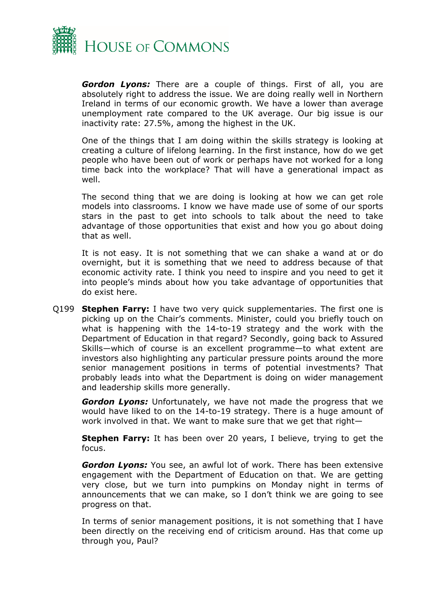

*Gordon Lyons:* There are a couple of things. First of all, you are absolutely right to address the issue. We are doing really well in Northern Ireland in terms of our economic growth. We have a lower than average unemployment rate compared to the UK average. Our big issue is our inactivity rate: 27.5%, among the highest in the UK.

One of the things that I am doing within the skills strategy is looking at creating a culture of lifelong learning. In the first instance, how do we get people who have been out of work or perhaps have not worked for a long time back into the workplace? That will have a generational impact as well.

The second thing that we are doing is looking at how we can get role models into classrooms. I know we have made use of some of our sports stars in the past to get into schools to talk about the need to take advantage of those opportunities that exist and how you go about doing that as well.

It is not easy. It is not something that we can shake a wand at or do overnight, but it is something that we need to address because of that economic activity rate. I think you need to inspire and you need to get it into people's minds about how you take advantage of opportunities that do exist here.

Q199 **Stephen Farry:** I have two very quick supplementaries. The first one is picking up on the Chair's comments. Minister, could you briefly touch on what is happening with the 14-to-19 strategy and the work with the Department of Education in that regard? Secondly, going back to Assured Skills—which of course is an excellent programme—to what extent are investors also highlighting any particular pressure points around the more senior management positions in terms of potential investments? That probably leads into what the Department is doing on wider management and leadership skills more generally.

*Gordon Lyons:* Unfortunately, we have not made the progress that we would have liked to on the 14-to-19 strategy. There is a huge amount of work involved in that. We want to make sure that we get that right—

**Stephen Farry:** It has been over 20 years, I believe, trying to get the focus.

*Gordon Lyons:* You see, an awful lot of work. There has been extensive engagement with the Department of Education on that. We are getting very close, but we turn into pumpkins on Monday night in terms of announcements that we can make, so I don't think we are going to see progress on that.

In terms of senior management positions, it is not something that I have been directly on the receiving end of criticism around. Has that come up through you, Paul?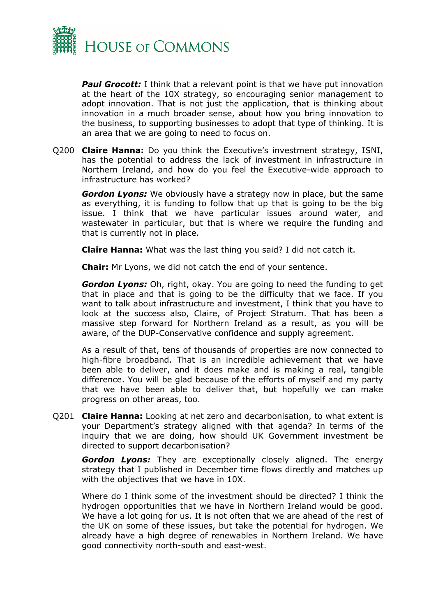

*Paul Grocott:* I think that a relevant point is that we have put innovation at the heart of the 10X strategy, so encouraging senior management to adopt innovation. That is not just the application, that is thinking about innovation in a much broader sense, about how you bring innovation to the business, to supporting businesses to adopt that type of thinking. It is an area that we are going to need to focus on.

Q200 **Claire Hanna:** Do you think the Executive's investment strategy, ISNI, has the potential to address the lack of investment in infrastructure in Northern Ireland, and how do you feel the Executive-wide approach to infrastructure has worked?

*Gordon Lyons:* We obviously have a strategy now in place, but the same as everything, it is funding to follow that up that is going to be the big issue. I think that we have particular issues around water, and wastewater in particular, but that is where we require the funding and that is currently not in place.

**Claire Hanna:** What was the last thing you said? I did not catch it.

**Chair:** Mr Lyons, we did not catch the end of your sentence.

*Gordon Lyons:* Oh, right, okay. You are going to need the funding to get that in place and that is going to be the difficulty that we face. If you want to talk about infrastructure and investment, I think that you have to look at the success also, Claire, of Project Stratum. That has been a massive step forward for Northern Ireland as a result, as you will be aware, of the DUP-Conservative confidence and supply agreement.

As a result of that, tens of thousands of properties are now connected to high-fibre broadband. That is an incredible achievement that we have been able to deliver, and it does make and is making a real, tangible difference. You will be glad because of the efforts of myself and my party that we have been able to deliver that, but hopefully we can make progress on other areas, too.

Q201 **Claire Hanna:** Looking at net zero and decarbonisation, to what extent is your Department's strategy aligned with that agenda? In terms of the inquiry that we are doing, how should UK Government investment be directed to support decarbonisation?

*Gordon Lyons:* They are exceptionally closely aligned. The energy strategy that I published in December time flows directly and matches up with the objectives that we have in 10X.

Where do I think some of the investment should be directed? I think the hydrogen opportunities that we have in Northern Ireland would be good. We have a lot going for us. It is not often that we are ahead of the rest of the UK on some of these issues, but take the potential for hydrogen. We already have a high degree of renewables in Northern Ireland. We have good connectivity north-south and east-west.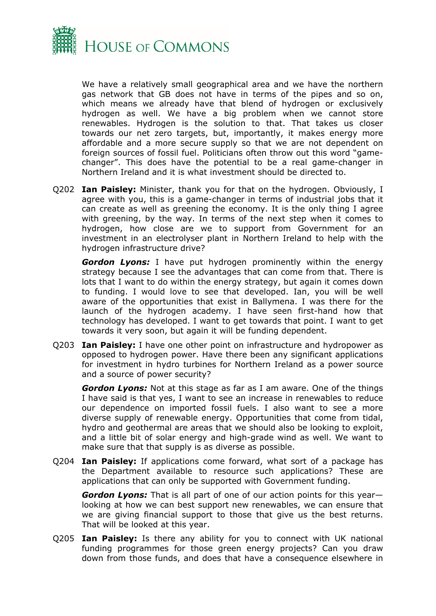

We have a relatively small geographical area and we have the northern gas network that GB does not have in terms of the pipes and so on, which means we already have that blend of hydrogen or exclusively hydrogen as well. We have a big problem when we cannot store renewables. Hydrogen is the solution to that. That takes us closer towards our net zero targets, but, importantly, it makes energy more affordable and a more secure supply so that we are not dependent on foreign sources of fossil fuel. Politicians often throw out this word "gamechanger". This does have the potential to be a real game-changer in Northern Ireland and it is what investment should be directed to.

Q202 **Ian Paisley:** Minister, thank you for that on the hydrogen. Obviously, I agree with you, this is a game-changer in terms of industrial jobs that it can create as well as greening the economy. It is the only thing I agree with greening, by the way. In terms of the next step when it comes to hydrogen, how close are we to support from Government for an investment in an electrolyser plant in Northern Ireland to help with the hydrogen infrastructure drive?

*Gordon Lyons:* I have put hydrogen prominently within the energy strategy because I see the advantages that can come from that. There is lots that I want to do within the energy strategy, but again it comes down to funding. I would love to see that developed. Ian, you will be well aware of the opportunities that exist in Ballymena. I was there for the launch of the hydrogen academy. I have seen first-hand how that technology has developed. I want to get towards that point. I want to get towards it very soon, but again it will be funding dependent.

Q203 **Ian Paisley:** I have one other point on infrastructure and hydropower as opposed to hydrogen power. Have there been any significant applications for investment in hydro turbines for Northern Ireland as a power source and a source of power security?

*Gordon Lyons:* Not at this stage as far as I am aware. One of the things I have said is that yes, I want to see an increase in renewables to reduce our dependence on imported fossil fuels. I also want to see a more diverse supply of renewable energy. Opportunities that come from tidal, hydro and geothermal are areas that we should also be looking to exploit, and a little bit of solar energy and high-grade wind as well. We want to make sure that that supply is as diverse as possible.

Q204 **Ian Paisley:** If applications come forward, what sort of a package has the Department available to resource such applications? These are applications that can only be supported with Government funding.

*Gordon Lyons:* That is all part of one of our action points for this year looking at how we can best support new renewables, we can ensure that we are giving financial support to those that give us the best returns. That will be looked at this year.

Q205 **Ian Paisley:** Is there any ability for you to connect with UK national funding programmes for those green energy projects? Can you draw down from those funds, and does that have a consequence elsewhere in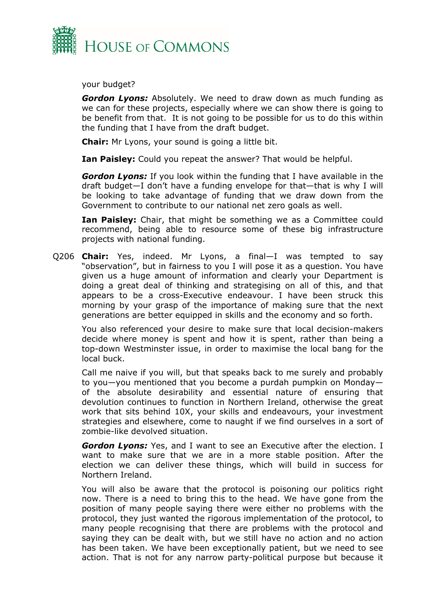

your budget?

*Gordon Lyons:* Absolutely. We need to draw down as much funding as we can for these projects, especially where we can show there is going to be benefit from that. It is not going to be possible for us to do this within the funding that I have from the draft budget.

**Chair:** Mr Lyons, your sound is going a little bit.

**Ian Paisley:** Could you repeat the answer? That would be helpful.

*Gordon Lyons:* If you look within the funding that I have available in the draft budget—I don't have a funding envelope for that—that is why I will be looking to take advantage of funding that we draw down from the Government to contribute to our national net zero goals as well.

**Ian Paisley:** Chair, that might be something we as a Committee could recommend, being able to resource some of these big infrastructure projects with national funding.

Q206 **Chair:** Yes, indeed. Mr Lyons, a final—I was tempted to say "observation", but in fairness to you I will pose it as a question. You have given us a huge amount of information and clearly your Department is doing a great deal of thinking and strategising on all of this, and that appears to be a cross-Executive endeavour. I have been struck this morning by your grasp of the importance of making sure that the next generations are better equipped in skills and the economy and so forth.

You also referenced your desire to make sure that local decision-makers decide where money is spent and how it is spent, rather than being a top-down Westminster issue, in order to maximise the local bang for the local buck.

Call me naive if you will, but that speaks back to me surely and probably to you—you mentioned that you become a purdah pumpkin on Monday of the absolute desirability and essential nature of ensuring that devolution continues to function in Northern Ireland, otherwise the great work that sits behind 10X, your skills and endeavours, your investment strategies and elsewhere, come to naught if we find ourselves in a sort of zombie-like devolved situation.

*Gordon Lyons:* Yes, and I want to see an Executive after the election. I want to make sure that we are in a more stable position. After the election we can deliver these things, which will build in success for Northern Ireland.

You will also be aware that the protocol is poisoning our politics right now. There is a need to bring this to the head. We have gone from the position of many people saying there were either no problems with the protocol, they just wanted the rigorous implementation of the protocol, to many people recognising that there are problems with the protocol and saying they can be dealt with, but we still have no action and no action has been taken. We have been exceptionally patient, but we need to see action. That is not for any narrow party-political purpose but because it